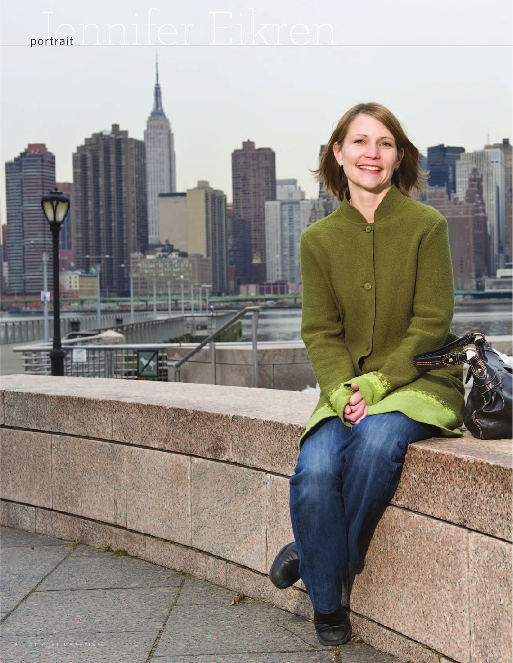## portrait **Annifer** Eikren